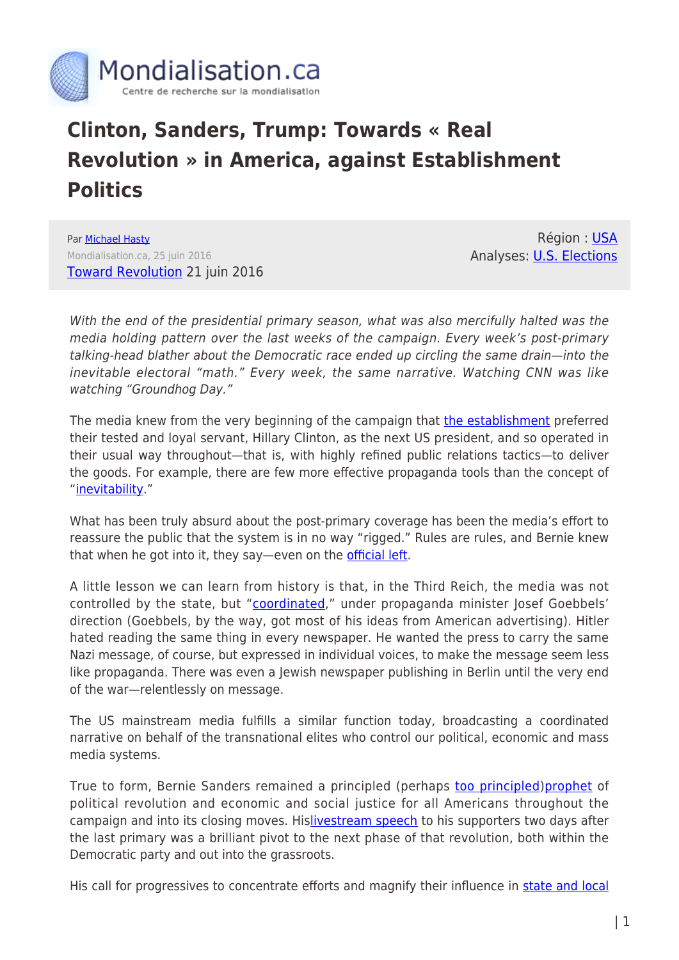

## **Clinton, Sanders, Trump: Towards « Real Revolution » in America, against Establishment Politics**

Par [Michael Hasty](https://www.mondialisation.ca/author/michael-hasty) Mondialisation.ca, 25 juin 2016 [Toward Revolution](https://freeradicalmaine.com/2016/06/21/toward-revolution/) 21 juin 2016

Région : [USA](https://www.mondialisation.ca/region/usa) Analyses: [U.S. Elections](https://www.mondialisation.ca/indepthreport/u-s-elections)

With the end of the presidential primary season, what was also mercifully halted was the media holding pattern over the last weeks of the campaign. Every week's post-primary talking-head blather about the Democratic race ended up circling the same drain—into the inevitable electoral "math." Every week, the same narrative. Watching CNN was like watching "Groundhog Day."

The media knew from the very beginning of the campaign that [the establishment](http://fivethirtyeight.com/features/hillary-clinton-is-the-most-establishment-approved-candidate-on-record/) preferred their tested and loyal servant, Hillary Clinton, as the next US president, and so operated in their usual way throughout—that is, with highly refined public relations tactics—to deliver the goods. For example, there are few more effective propaganda tools than the concept of "[inevitability.](http://www.aljazeera.com/programmes/listeningpost/2016/04/york-clinton-narrative-inevitability-160424082432459.html)"

What has been truly absurd about the post-primary coverage has been the media's effort to reassure the public that the system is in no way "rigged." Rules are rules, and Bernie knew that when he got into it, they say—even on the **official left**.

A little lesson we can learn from history is that, in the Third Reich, the media was not controlled by the state, but "[coordinated](http://radicalpantheist.blogspot.com/2008/10/coordinated-media.html)," under propaganda minister Josef Goebbels' direction (Goebbels, by the way, got most of his ideas from American advertising). Hitler hated reading the same thing in every newspaper. He wanted the press to carry the same Nazi message, of course, but expressed in individual voices, to make the message seem less like propaganda. There was even a Jewish newspaper publishing in Berlin until the very end of the war—relentlessly on message.

The US mainstream media fulfills a similar function today, broadcasting a coordinated narrative on behalf of the transnational elites who control our political, economic and mass media systems.

True to form, Bernie Sanders remained a principled (perhaps [too principled\)](http://www.chicagotribune.com/news/opinion/commentary/ct-bernie-sanders-not-attacking-hillary-clinton-emails-scandals-20160222-story.html)[prophet](http://www.newyorker.com/magazine/2015/10/12/the-populist-prophet) of political revolution and economic and social justice for all Americans throughout the campaign and into its closing moves. Hi[slivestream speech](https://berniesanders.com/press-release/sanders-live-online-address/) to his supporters two days after the last primary was a brilliant pivot to the next phase of that revolution, both within the Democratic party and out into the grassroots.

His call for progressives to concentrate efforts and magnify their influence in [state and local](https://berniesanders.com/press-release/thousands-potential-candidates-respond-sanders-appeal/)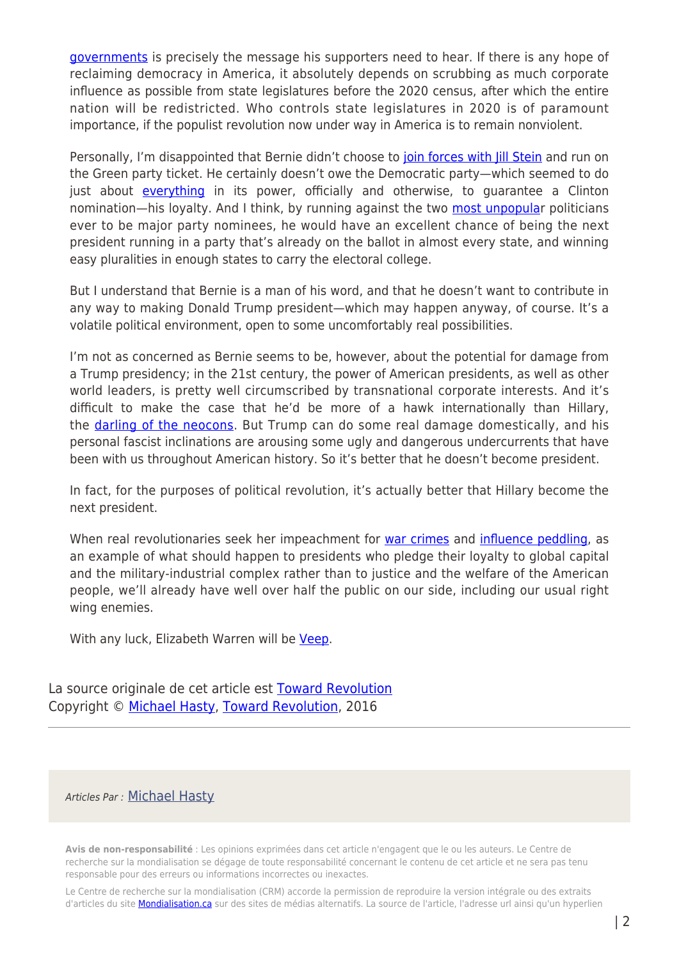[governments](https://berniesanders.com/press-release/thousands-potential-candidates-respond-sanders-appeal/) is precisely the message his supporters need to hear. If there is any hope of reclaiming democracy in America, it absolutely depends on scrubbing as much corporate influence as possible from state legislatures before the 2020 census, after which the entire nation will be redistricted. Who controls state legislatures in 2020 is of paramount importance, if the populist revolution now under way in America is to remain nonviolent.

Personally, I'm disappointed that Bernie didn't choose to [join forces with Jill Stein](http://www.salon.com/2016/04/25/jill_stein_pens_open_letter_to_bernie_sanders_green_party_presidential_candidate_invites_sanders_to_cooperate_on_political_revolution/) and run on the Green party ticket. He certainly doesn't owe the Democratic party—which seemed to do just about [everything](http://www.salon.com/2016/03/30/10_ways_the_democratic_primary_has_been_rigged_from_the_start_partner/) in its power, officially and otherwise, to quarantee a Clinton nomination—his loyalty. And I think, by running against the two [most unpopular](http://fivethirtyeight.com/features/americans-distaste-for-both-trump-and-clinton-is-record-breaking/) politicians ever to be major party nominees, he would have an excellent chance of being the next president running in a party that's already on the ballot in almost every state, and winning easy pluralities in enough states to carry the electoral college.

But I understand that Bernie is a man of his word, and that he doesn't want to contribute in any way to making Donald Trump president—which may happen anyway, of course. It's a volatile political environment, open to some uncomfortably real possibilities.

I'm not as concerned as Bernie seems to be, however, about the potential for damage from a Trump presidency; in the 21st century, the power of American presidents, as well as other world leaders, is pretty well circumscribed by transnational corporate interests. And it's difficult to make the case that he'd be more of a hawk internationally than Hillary, the [darling of the neocons](https://consortiumnews.com/2016/05/14/the-hillary-clintonneocon-merger/). But Trump can do some real damage domestically, and his personal fascist inclinations are arousing some ugly and dangerous undercurrents that have been with us throughout American history. So it's better that he doesn't become president.

In fact, for the purposes of political revolution, it's actually better that Hillary become the next president.

When real revolutionaries seek her impeachment for [war crimes](http://www.huffingtonpost.com/bruce-fein/hillary-clinton-unfit-for_b_8313372.html) and [influence peddling](http://harpers.org/blog/2015/11/shaky-foundations/), as an example of what should happen to presidents who pledge their loyalty to global capital and the military-industrial complex rather than to justice and the welfare of the American people, we'll already have well over half the public on our side, including our usual right wing enemies.

With any luck, Elizabeth Warren will be [Veep](http://www.politico.com/story/2016/06/elizabeth-warren-wall-street-vice-president-224489).

La source originale de cet article est **[Toward Revolution](https://freeradicalmaine.com/2016/06/21/toward-revolution/)** Copyright © [Michael Hasty,](https://www.mondialisation.ca/author/michael-hasty) [Toward Revolution,](https://freeradicalmaine.com/2016/06/21/toward-revolution/) 2016

## Articles Par : [Michael Hasty](https://www.mondialisation.ca/author/michael-hasty)

**Avis de non-responsabilité** : Les opinions exprimées dans cet article n'engagent que le ou les auteurs. Le Centre de recherche sur la mondialisation se dégage de toute responsabilité concernant le contenu de cet article et ne sera pas tenu responsable pour des erreurs ou informations incorrectes ou inexactes.

Le Centre de recherche sur la mondialisation (CRM) accorde la permission de reproduire la version intégrale ou des extraits d'articles du site **Mondialisation.ca** sur des sites de médias alternatifs. La source de l'article, l'adresse url ainsi qu'un hyperlien